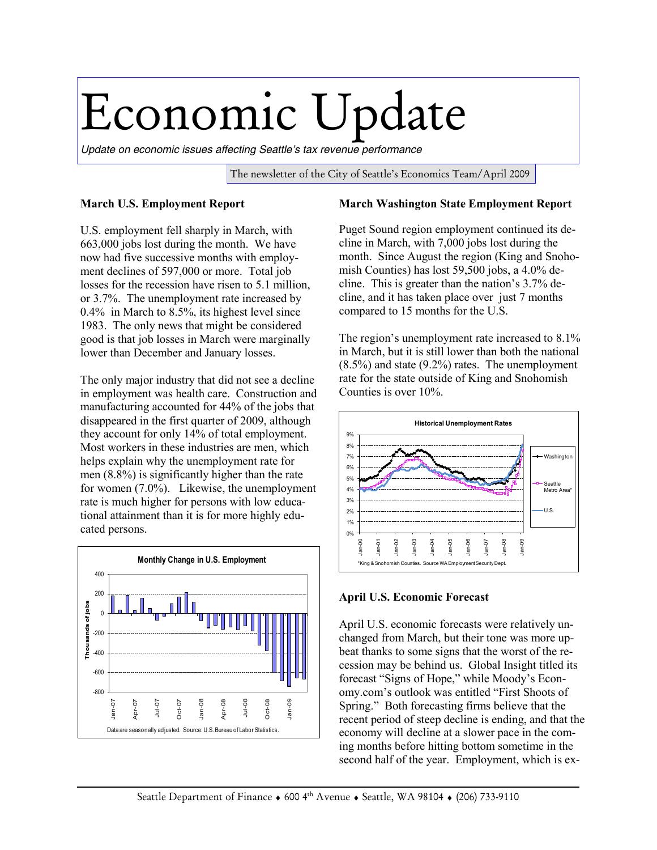## Economic Update

*Update on economic issues affecting Seattle's tax revenue performance*

The newsletter of the City of Seattle's Economics Team/April 2009

## **March U.S. Employment Report**

U.S. employment fell sharply in March, with 663,000 jobs lost during the month. We have now had five successive months with employment declines of 597,000 or more. Total job losses for the recession have risen to 5.1 million, or 3.7%. The unemployment rate increased by 0.4% in March to 8.5%, its highest level since 1983. The only news that might be considered good is that job losses in March were marginally lower than December and January losses.

The only major industry that did not see a decline in employment was health care. Construction and manufacturing accounted for 44% of the jobs that disappeared in the first quarter of 2009, although they account for only 14% of total employment. Most workers in these industries are men, which helps explain why the unemployment rate for men (8.8%) is significantly higher than the rate for women (7.0%). Likewise, the unemployment rate is much higher for persons with low educational attainment than it is for more highly educated persons.



## **March Washington State Employment Report**

Puget Sound region employment continued its decline in March, with 7,000 jobs lost during the month. Since August the region (King and Snohomish Counties) has lost 59,500 jobs, a 4.0% decline. This is greater than the nation's 3.7% decline, and it has taken place over just 7 months compared to 15 months for the U.S.

The region's unemployment rate increased to 8.1% in March, but it is still lower than both the national (8.5%) and state (9.2%) rates. The unemployment rate for the state outside of King and Snohomish Counties is over 10%.



## **April U.S. Economic Forecast**

April U.S. economic forecasts were relatively unchanged from March, but their tone was more upbeat thanks to some signs that the worst of the recession may be behind us. Global Insight titled its forecast "Signs of Hope," while Moody's Economy.com's outlook was entitled "First Shoots of Spring." Both forecasting firms believe that the recent period of steep decline is ending, and that the economy will decline at a slower pace in the coming months before hitting bottom sometime in the second half of the year. Employment, which is ex-